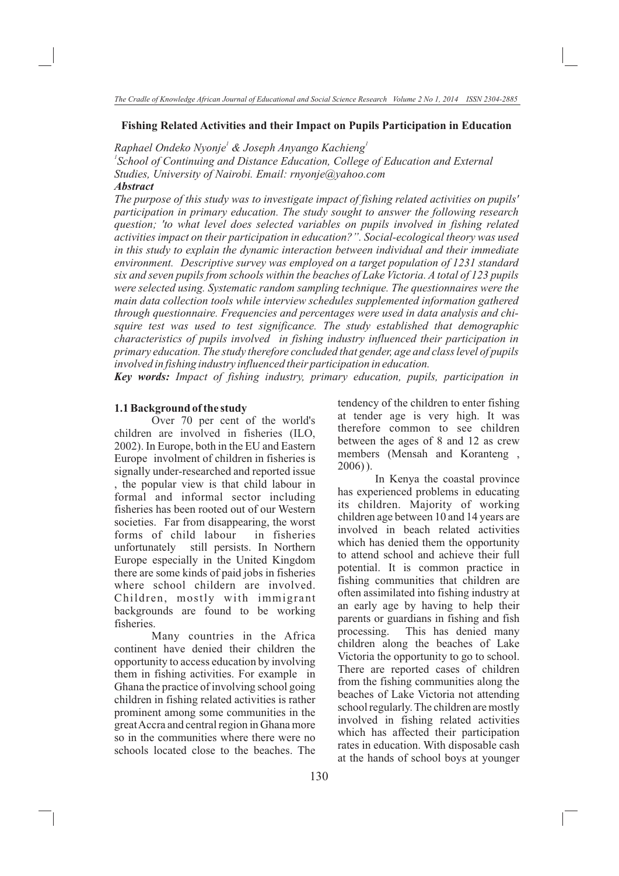# **Fishing Related Activities and their Impact on Pupils Participation in Education**

*1 1 Raphael Ondeko Nyonje & Joseph Anyango Kachieng*

<sup>1</sup> School of Continuing and Distance Education, College of Education and External *Studies, University of Nairobi. Email: rnyonje@yahoo.com Abstract*

*The purpose of this study was to investigate impact of fishing related activities on pupils' participation in primary education. The study sought to answer the following research question; 'to what level does selected variables on pupils involved in fishing related activities impact on their participation in education?". Social-ecological theory was used in this study to explain the dynamic interaction between individual and their immediate environment. Descriptive survey was employed on a target population of 1231 standard six and seven pupils from schools within the beaches of Lake Victoria. A total of 123 pupils were selected using. Systematic random sampling technique. The questionnaires were the main data collection tools while interview schedules supplemented information gathered through questionnaire. Frequencies and percentages were used in data analysis and chisquire test was used to test significance. The study established that demographic characteristics of pupils involved in fishing industry influenced their participation in primary education. The study therefore concluded that gender, age and class level of pupils involved in fishing industry influenced their participation in education.* 

*Key words: Impact of fishing industry, primary education, pupils, participation in* 

#### **1.1 Background of the study**

2002). In Europe, both in the EU and Eastern Europe involment of children in fisheries is signally under-researched and reported issue , the popular view is that child labour in formal and informal sector including fisheries has been rooted out of our Western societies. Far from disappearing, the worst forms of child labour in fisheries unfortunately still persists. In Northern Europe especially in the United Kingdom there are some kinds of paid jobs in fisheries where school childern are involved. Children, mostly with immigrant backgrounds are found to be working fisheries. Over 70 per cent of the world's children are involved in fisheries (ILO,

Many countries in the Africa continent have denied their children the opportunity to access education by involving them in fishing activities. For example in Ghana the practice of involving school going children in fishing related activities is rather prominent among some communities in the great Accra and central region in Ghana more so in the communities where there were no schools located close to the beaches. The tendency of the children to enter fishing at tender age is very high. It was therefore common to see children between the ages of 8 and 12 as crew members (Mensah and Koranteng , 2006) ).

In Kenya the coastal province has experienced problems in educating its children. Majority of working children age between 10 and 14 years are involved in beach related activities which has denied them the opportunity to attend school and achieve their full potential. It is common practice in fishing communities that children are often assimilated into fishing industry at an early age by having to help their parents or guardians in fishing and fish processing. This has denied many children along the beaches of Lake Victoria the opportunity to go to school. There are reported cases of children from the fishing communities along the beaches of Lake Victoria not attending school regularly. The children are mostly involved in fishing related activities which has affected their participation rates in education. With disposable cash at the hands of school boys at younger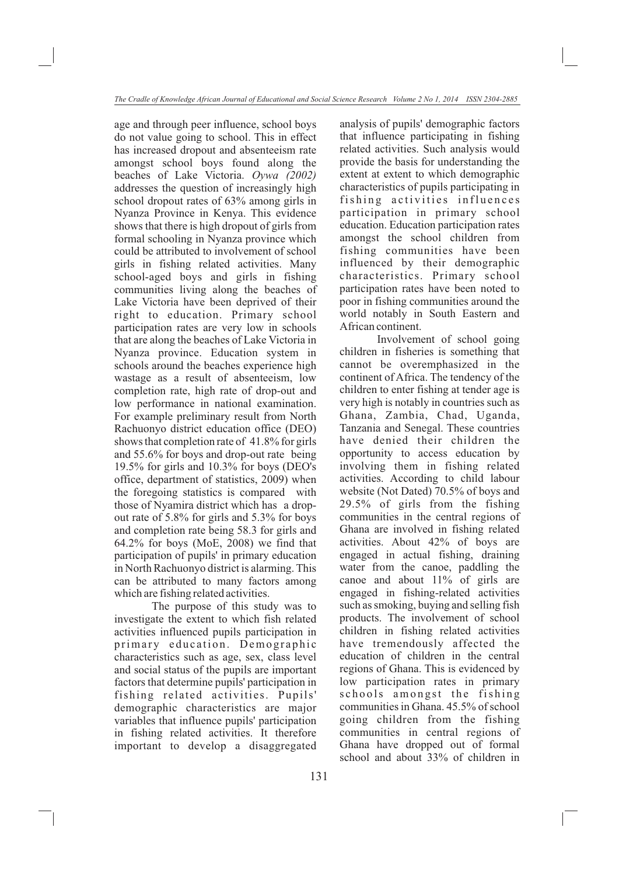age and through peer influence, school boys do not value going to school. This in effect has increased dropout and absenteeism rate amongst school boys found along the beaches of Lake Victoria. *Oywa (2002)*  addresses the question of increasingly high school dropout rates of 63% among girls in Nyanza Province in Kenya. This evidence shows that there is high dropout of girls from formal schooling in Nyanza province which could be attributed to involvement of school girls in fishing related activities. Many school-aged boys and girls in fishing communities living along the beaches of Lake Victoria have been deprived of their right to education. Primary school participation rates are very low in schools that are along the beaches of Lake Victoria in Nyanza province. Education system in schools around the beaches experience high wastage as a result of absenteeism, low completion rate, high rate of drop-out and low performance in national examination. For example preliminary result from North Rachuonyo district education office (DEO) shows that completion rate of 41.8% for girls and 55.6% for boys and drop-out rate being 19.5% for girls and 10.3% for boys (DEO's office, department of statistics, 2009) when the foregoing statistics is compared with those of Nyamira district which has a dropout rate of 5.8% for girls and 5.3% for boys and completion rate being 58.3 for girls and 64.2% for boys (MoE, 2008) we find that participation of pupils' in primary education in North Rachuonyo district is alarming. This can be attributed to many factors among which are fishing related activities.

The purpose of this study was to investigate the extent to which fish related activities influenced pupils participation in primary education. Demographic characteristics such as age, sex, class level and social status of the pupils are important factors that determine pupils' participation in fishing related activities. Pupils' demographic characteristics are major variables that influence pupils' participation in fishing related activities. It therefore important to develop a disaggregated analysis of pupils' demographic factors that influence participating in fishing related activities. Such analysis would provide the basis for understanding the extent at extent to which demographic characteristics of pupils participating in fishing activities influences participation in primary school education. Education participation rates amongst the school children from fishing communities have been influenced by their demographic characteristics. Primary school participation rates have been noted to poor in fishing communities around the world notably in South Eastern and African continent.

Involvement of school going children in fisheries is something that cannot be overemphasized in the continent of Africa. The tendency of the children to enter fishing at tender age is very high is notably in countries such as Ghana, Zambia, Chad, Uganda, Tanzania and Senegal. These countries have denied their children the opportunity to access education by involving them in fishing related activities. According to child labour website (Not Dated) 70.5% of boys and 29.5% of girls from the fishing communities in the central regions of Ghana are involved in fishing related activities. About 42% of boys are engaged in actual fishing, draining water from the canoe, paddling the canoe and about 11% of girls are engaged in fishing-related activities such as smoking, buying and selling fish products. The involvement of school children in fishing related activities have tremendously affected the education of children in the central regions of Ghana. This is evidenced by low participation rates in primary schools amongst the fishing communities in Ghana. 45.5% of school going children from the fishing communities in central regions of Ghana have dropped out of formal school and about 33% of children in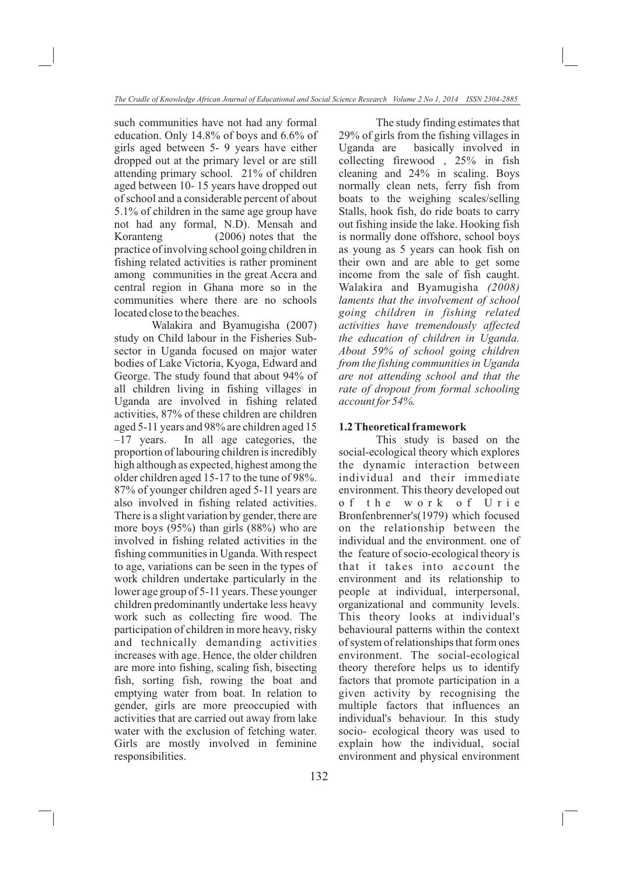such communities have not had any formal education. Only 14.8% of boys and 6.6% of girls aged between 5- 9 years have either dropped out at the primary level or are still attending primary school. 21% of children aged between 10- 15 years have dropped out of school and a considerable percent of about 5.1% of children in the same age group have not had any formal, N.D). Mensah and Koranteng (2006) notes that the practice of involving school going children in fishing related activities is rather prominent among communities in the great Accra and central region in Ghana more so in the communities where there are no schools located close to the beaches.

Walakira and Byamugisha (2007) study on Child labour in the Fisheries Subsector in Uganda focused on major water bodies of Lake Victoria, Kyoga, Edward and George. The study found that about 94% of all children living in fishing villages in Uganda are involved in fishing related activities, 87% of these children are children aged 5-11 years and 98% are children aged 15 –17 years. In all age categories, the proportion of labouring children is incredibly high although as expected, highest among the older children aged 15-17 to the tune of 98%. 87% of younger children aged 5-11 years are also involved in fishing related activities. There is a slight variation by gender, there are more boys (95%) than girls (88%) who are involved in fishing related activities in the fishing communities in Uganda. With respect to age, variations can be seen in the types of work children undertake particularly in the lower age group of 5-11 years. These younger children predominantly undertake less heavy work such as collecting fire wood. The participation of children in more heavy, risky and technically demanding activities increases with age. Hence, the older children are more into fishing, scaling fish, bisecting fish, sorting fish, rowing the boat and emptying water from boat. In relation to gender, girls are more preoccupied with activities that are carried out away from lake water with the exclusion of fetching water. Girls are mostly involved in feminine responsibilities.

The study finding estimates that 29% of girls from the fishing villages in Uganda are basically involved in collecting firewood , 25% in fish cleaning and 24% in scaling. Boys normally clean nets, ferry fish from boats to the weighing scales/selling Stalls, hook fish, do ride boats to carry out fishing inside the lake. Hooking fish is normally done offshore, school boys as young as 5 years can hook fish on their own and are able to get some income from the sale of fish caught. Walakira and Byamugisha *(2008) laments that the involvement of school going children in fishing related activities have tremendously affected the education of children in Uganda. About 59% of school going children from the fishing communities in Uganda are not attending school and that the rate of dropout from formal schooling account for 54%.* 

#### **1.2 Theoretical framework**

This study is based on the social-ecological theory which explores the dynamic interaction between individual and their immediate environment. This theory developed out o f t h e w o r k o f U r i e Bronfenbrenner's(1979) which focused on the relationship between the individual and the environment. one of the feature of socio-ecological theory is that it takes into account the environment and its relationship to people at individual, interpersonal, organizational and community levels. This theory looks at individual's behavioural patterns within the context of system of relationships that form ones environment. The social-ecological theory therefore helps us to identify factors that promote participation in a given activity by recognising the multiple factors that influences an individual's behaviour. In this study socio- ecological theory was used to explain how the individual, social environment and physical environment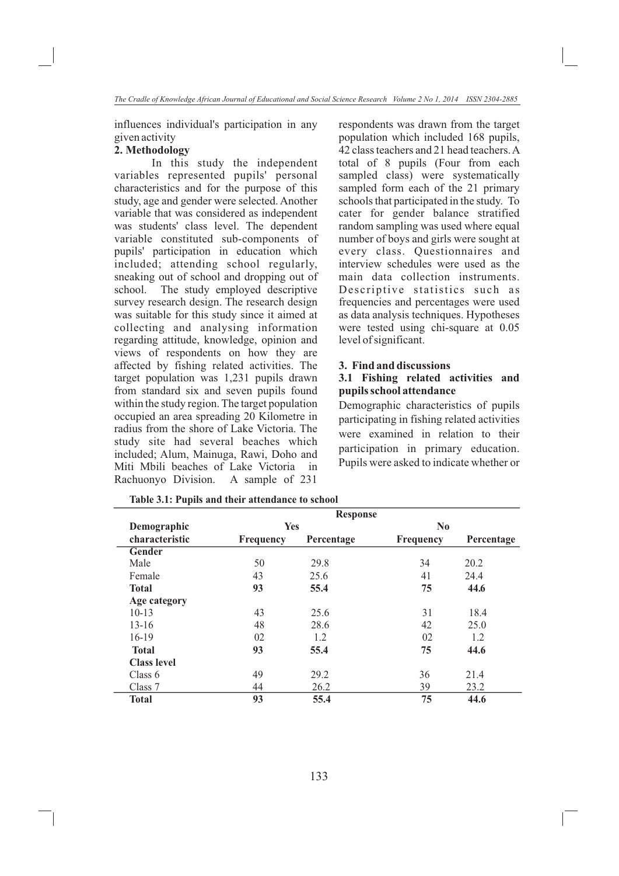influences individual's participation in any given activity

# **2. Methodology**

In this study the independent variables represented pupils' personal characteristics and for the purpose of this study, age and gender were selected. Another variable that was considered as independent was students' class level. The dependent variable constituted sub-components of pupils' participation in education which included; attending school regularly, sneaking out of school and dropping out of school. The study employed descriptive survey research design. The research design was suitable for this study since it aimed at collecting and analysing information regarding attitude, knowledge, opinion and views of respondents on how they are affected by fishing related activities. The target population was 1,231 pupils drawn from standard six and seven pupils found within the study region. The target population occupied an area spreading 20 Kilometre in radius from the shore of Lake Victoria. The study site had several beaches which included; Alum, Mainuga, Rawi, Doho and Miti Mbili beaches of Lake Victoria in Rachuonyo Division. A sample of 231

respondents was drawn from the target population which included 168 pupils, 42 class teachers and 21 head teachers. A total of 8 pupils (Four from each sampled class) were systematically sampled form each of the 21 primary schools that participated in the study. To cater for gender balance stratified random sampling was used where equal number of boys and girls were sought at every class. Questionnaires and interview schedules were used as the main data collection instruments. Descriptive statistics such as frequencies and percentages were used as data analysis techniques. Hypotheses were tested using chi-square at 0.05 level of significant.

### **3. Find and discussions**

### **3.1 Fishing related activities and pupils school attendance**

Demographic characteristics of pupils participating in fishing related activities were examined in relation to their participation in primary education. Pupils were asked to indicate whether or

|                    |                  | <b>Response</b> |                  |            |
|--------------------|------------------|-----------------|------------------|------------|
| Demographic        | Yes              |                 | $\bf No$         |            |
| characteristic     | <b>Frequency</b> | Percentage      | <b>Frequency</b> | Percentage |
| Gender             |                  |                 |                  |            |
| Male               | 50               | 29.8            | 34               | 20.2       |
| Female             | 43               | 25.6            | 41               | 24.4       |
| <b>Total</b>       | 93               | 55.4            | 75               | 44.6       |
| Age category       |                  |                 |                  |            |
| $10-13$            | 43               | 25.6            | 31               | 18.4       |
| $13 - 16$          | 48               | 28.6            | 42               | 25.0       |
| 16-19              | 02               | 1.2             | 02               | 1.2        |
| <b>Total</b>       | 93               | 55.4            | 75               | 44.6       |
| <b>Class level</b> |                  |                 |                  |            |
| Class $6$          | 49               | 29.2            | 36               | 21.4       |
| Class 7            | 44               | 26.2            | 39               | 23.2       |
| <b>Total</b>       | 93               | 55.4            | 75               | 44.6       |

**Table 3.1: Pupils and their attendance to school**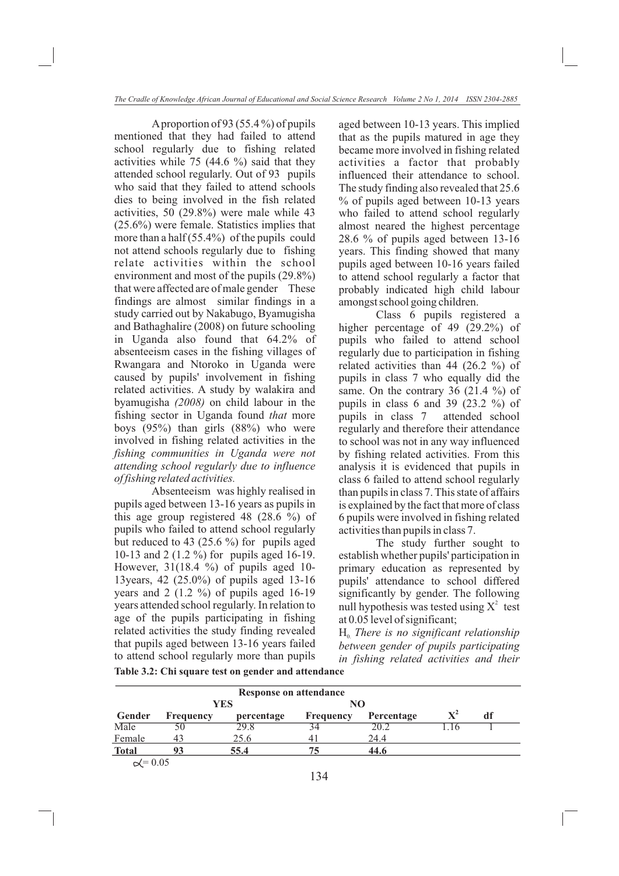A proportion of 93 (55.4 %) of pupils mentioned that they had failed to attend school regularly due to fishing related activities while 75 (44.6 %) said that they attended school regularly. Out of 93 pupils who said that they failed to attend schools dies to being involved in the fish related activities, 50 (29.8%) were male while 43 (25.6%) were female. Statistics implies that more than a half (55.4%) of the pupils could not attend schools regularly due to fishing relate activities within the school environment and most of the pupils (29.8%) that were affected are of male gender These findings are almost similar findings in a study carried out by Nakabugo, Byamugisha and Bathaghalire (2008) on future schooling in Uganda also found that 64.2% of absenteeism cases in the fishing villages of Rwangara and Ntoroko in Uganda were caused by pupils' involvement in fishing related activities. A study by walakira and byamugisha *(2008)* on child labour in the fishing sector in Uganda found *that* more boys (95%) than girls (88%) who were involved in fishing related activities in the *fishing communities in Uganda were not attending school regularly due to influence of fishing related activities.*

Absenteeism was highly realised in pupils aged between 13-16 years as pupils in this age group registered 48 (28.6 %) of pupils who failed to attend school regularly but reduced to 43 (25.6 %) for pupils aged 10-13 and 2 (1.2 %) for pupils aged 16-19. However, 31(18.4 %) of pupils aged 10- 13years, 42 (25.0%) of pupils aged 13-16 years and 2 (1.2 %) of pupils aged 16-19 years attended school regularly. In relation to age of the pupils participating in fishing related activities the study finding revealed that pupils aged between 13-16 years failed to attend school regularly more than pupils

aged between 10-13 years. This implied that as the pupils matured in age they became more involved in fishing related activities a factor that probably influenced their attendance to school. The study finding also revealed that 25.6 % of pupils aged between 10-13 years who failed to attend school regularly almost neared the highest percentage 28.6 % of pupils aged between 13-16 years. This finding showed that many pupils aged between 10-16 years failed to attend school regularly a factor that probably indicated high child labour amongst school going children.

Class 6 pupils registered a higher percentage of 49 (29.2%) of pupils who failed to attend school regularly due to participation in fishing related activities than 44 (26.2 %) of pupils in class 7 who equally did the same. On the contrary 36 (21.4 %) of pupils in class 6 and 39  $(23.2 \%)$  of pupils in class 7 attended school regularly and therefore their attendance to school was not in any way influenced by fishing related activities. From this analysis it is evidenced that pupils in class 6 failed to attend school regularly than pupils in class 7. This state of affairs is explained by the fact that more of class 6 pupils were involved in fishing related activities than pupils in class 7.

The study further sought to establish whether pupils' participation in primary education as represented by pupils' attendance to school differed significantly by gender. The following null hypothesis was tested using  $X^2$  test at 0.05 level of significant;

 $H<sub>o</sub>$  *There is no significant relationship between gender of pupils participating in fishing related activities and their* 

| Table 3.2: Chi square test on gender and attendance |  |
|-----------------------------------------------------|--|
|-----------------------------------------------------|--|

|                  |                  | <b>YES</b> | NO               |            |                |    |  |
|------------------|------------------|------------|------------------|------------|----------------|----|--|
| Gender           | <b>Frequency</b> | percentage | <b>Frequency</b> | Percentage | $\mathbf{X}^2$ | df |  |
| Male             | 50               | 29.8       |                  | 20.2       |                |    |  |
| Female           |                  | 25.6       | 41               | 24.4       |                |    |  |
| <b>Total</b>     |                  | 55.4       |                  | 44.6       |                |    |  |
| $\propto$ = 0.05 |                  |            |                  |            |                |    |  |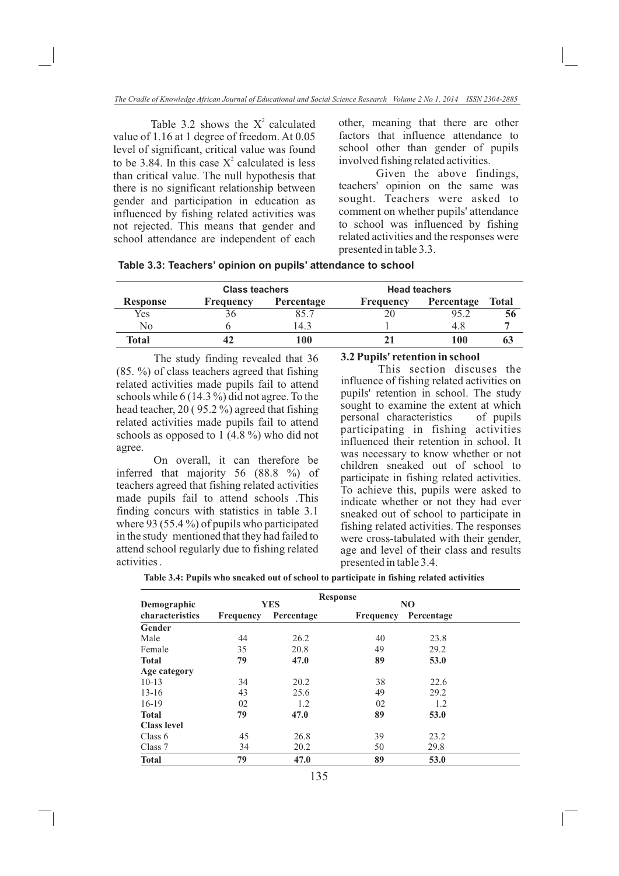Table 3.2 shows the  $X^2$  calculated value of 1.16 at 1 degree of freedom. At 0.05 level of significant, critical value was found to be 3.84. In this case  $X^2$  calculated is less than critical value. The null hypothesis that there is no significant relationship between gender and participation in education as influenced by fishing related activities was not rejected. This means that gender and school attendance are independent of each

other, meaning that there are other factors that influence attendance to school other than gender of pupils involved fishing related activities.

Given the above findings, teachers' opinion on the same was sought. Teachers were asked to comment on whether pupils' attendance to school was influenced by fishing related activities and the responses were presented in table 3.3.

| Table 3.3: Teachers' opinion on pupils' attendance to school |  |  |  |  |
|--------------------------------------------------------------|--|--|--|--|
|--------------------------------------------------------------|--|--|--|--|

| <b>Class teachers</b> |           |            | <b>Head teachers</b> |            |              |
|-----------------------|-----------|------------|----------------------|------------|--------------|
| <b>Response</b>       | Frequency | Percentage | Frequency            | Percentage | <b>Total</b> |
| Yes                   |           |            |                      | 95.2       | 56           |
| No                    |           | 4.3        |                      | 4.8        |              |
| Total                 | 42        | 100        |                      | 100        | 0.1          |

The study finding revealed that 36 (85. %) of class teachers agreed that fishing related activities made pupils fail to attend schools while 6 (14.3 %) did not agree. To the head teacher, 20 ( 95.2 %) agreed that fishing related activities made pupils fail to attend schools as opposed to 1 (4.8 %) who did not agree.

On overall, it can therefore be inferred that majority 56 (88.8 %) of teachers agreed that fishing related activities made pupils fail to attend schools .This finding concurs with statistics in table 3.1 where 93 (55.4 %) of pupils who participated in the study mentioned that they had failed to attend school regularly due to fishing related activities .

#### **3.2 Pupils' retention in school**

 This section discuses the influence of fishing related activities on pupils' retention in school. The study sought to examine the extent at which personal characteristics of pupils participating in fishing activities influenced their retention in school. It was necessary to know whether or not children sneaked out of school to participate in fishing related activities. To achieve this, pupils were asked to indicate whether or not they had ever sneaked out of school to participate in fishing related activities. The responses were cross-tabulated with their gender, age and level of their class and results presented in table 3.4.

| Table 3.4: Pupils who sneaked out of school to participate in fishing related activities |  |  |  |
|------------------------------------------------------------------------------------------|--|--|--|
|                                                                                          |  |  |  |

|                    |           |            | <b>Response</b> |            |  |
|--------------------|-----------|------------|-----------------|------------|--|
| Demographic        |           | <b>YES</b> |                 | NO         |  |
| characteristics    | Frequency | Percentage | Frequency       | Percentage |  |
| Gender             |           |            |                 |            |  |
| Male               | 44        | 26.2       | 40              | 23.8       |  |
| Female             | 35        | 20.8       | 49              | 29.2       |  |
| <b>Total</b>       | 79        | 47.0       | 89              | 53.0       |  |
| Age category       |           |            |                 |            |  |
| $10 - 13$          | 34        | 20.2       | 38              | 22.6       |  |
| $13 - 16$          | 43        | 25.6       | 49              | 29.2       |  |
| $16-19$            | 02        | 1.2        | 02              | 1.2        |  |
| <b>Total</b>       | 79        | 47.0       | 89              | 53.0       |  |
| <b>Class level</b> |           |            |                 |            |  |
| Class 6            | 45        | 26.8       | 39              | 23.2       |  |
| Class 7            | 34        | 20.2       | 50              | 29.8       |  |
| <b>Total</b>       | 79        | 47.0       | 89              | 53.0       |  |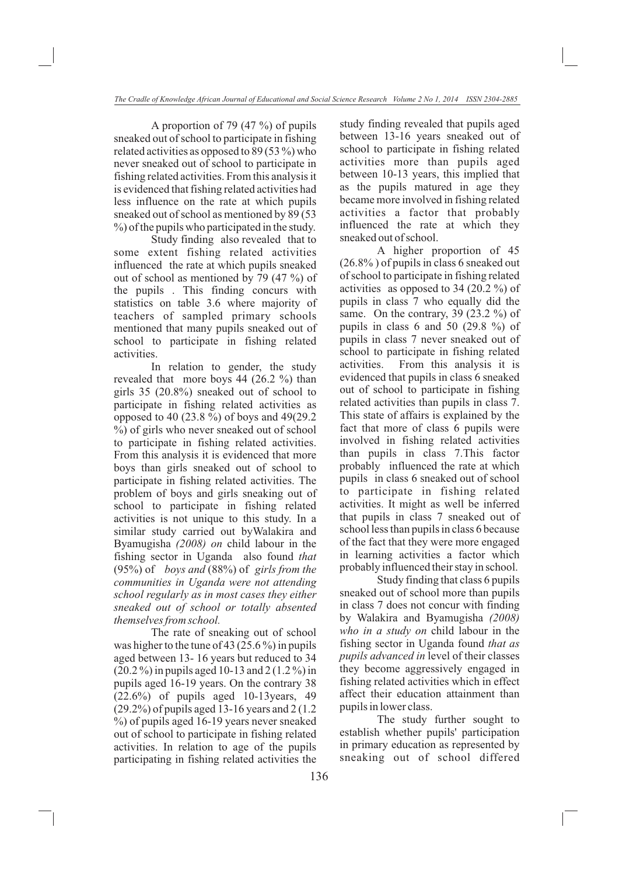A proportion of 79 (47 %) of pupils sneaked out of school to participate in fishing related activities as opposed to 89 (53 %) who never sneaked out of school to participate in fishing related activities. From this analysis it is evidenced that fishing related activities had less influence on the rate at which pupils sneaked out of school as mentioned by 89 (53  $\%$ ) of the pupils who participated in the study.

Study finding also revealed that to some extent fishing related activities influenced the rate at which pupils sneaked out of school as mentioned by 79 (47 %) of the pupils . This finding concurs with statistics on table 3.6 where majority of teachers of sampled primary schools mentioned that many pupils sneaked out of school to participate in fishing related activities.

In relation to gender, the study revealed that more boys 44 (26.2 %) than girls 35 (20.8%) sneaked out of school to participate in fishing related activities as opposed to 40 (23.8 %) of boys and 49(29.2 %) of girls who never sneaked out of school to participate in fishing related activities. From this analysis it is evidenced that more boys than girls sneaked out of school to participate in fishing related activities. The problem of boys and girls sneaking out of school to participate in fishing related activities is not unique to this study. In a similar study carried out byWalakira and Byamugisha *(2008) on* child labour in the fishing sector in Uganda also found *that*  (95%) of *boys and* (88%) of *girls from the communities in Uganda were not attending school regularly as in most cases they either sneaked out of school or totally absented themselves from school.*

The rate of sneaking out of school was higher to the tune of 43 (25.6 %) in pupils aged between 13- 16 years but reduced to 34 (20.2 %) in pupils aged 10-13 and 2 (1.2 %) in pupils aged 16-19 years. On the contrary 38 (22.6%) of pupils aged 10-13years, 49 (29.2%) of pupils aged 13-16 years and 2 (1.2 %) of pupils aged 16-19 years never sneaked out of school to participate in fishing related activities. In relation to age of the pupils participating in fishing related activities the

study finding revealed that pupils aged between 13-16 years sneaked out of school to participate in fishing related activities more than pupils aged between 10-13 years, this implied that as the pupils matured in age they became more involved in fishing related activities a factor that probably influenced the rate at which they sneaked out of school.

A higher proportion of 45 (26.8% ) of pupils in class 6 sneaked out of school to participate in fishing related activities as opposed to 34 (20.2 %) of pupils in class 7 who equally did the same. On the contrary,  $39$  ( $23.2\%$ ) of pupils in class 6 and 50 (29.8 %) of pupils in class 7 never sneaked out of school to participate in fishing related activities. From this analysis it is evidenced that pupils in class 6 sneaked out of school to participate in fishing related activities than pupils in class 7. This state of affairs is explained by the fact that more of class 6 pupils were involved in fishing related activities than pupils in class 7.This factor probably influenced the rate at which pupils in class 6 sneaked out of school to participate in fishing related activities. It might as well be inferred that pupils in class 7 sneaked out of school less than pupils in class 6 because of the fact that they were more engaged in learning activities a factor which probably influenced their stay in school.

Study finding that class 6 pupils sneaked out of school more than pupils in class 7 does not concur with finding by Walakira and Byamugisha *(2008) who in a study on* child labour in the fishing sector in Uganda found *that as pupils advanced in* level of their classes they become aggressively engaged in fishing related activities which in effect affect their education attainment than pupils in lower class.

The study further sought to establish whether pupils' participation in primary education as represented by sneaking out of school differed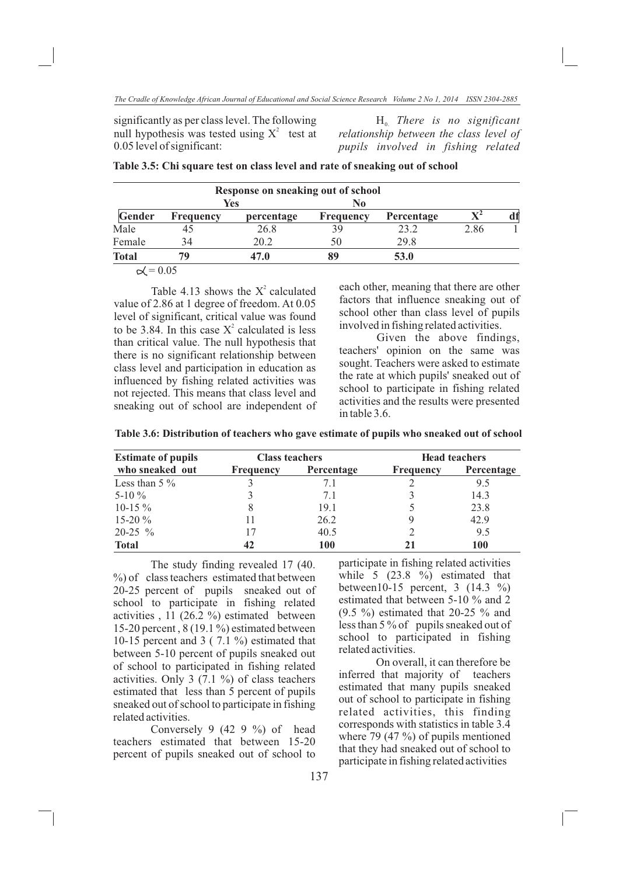significantly as per class level. The following null hypothesis was tested using  $X^2$  test at 0.05 level of significant:

 $H<sub>0</sub>$  *There is no significant relationship between the class level of pupils involved in fishing related* 

|  |  |  |  |  | Table 3.5: Chi square test on class level and rate of sneaking out of school |  |
|--|--|--|--|--|------------------------------------------------------------------------------|--|
|--|--|--|--|--|------------------------------------------------------------------------------|--|

|               |                          | Response on sneaking out of school |                  |            |      |  |
|---------------|--------------------------|------------------------------------|------------------|------------|------|--|
|               | Yes                      |                                    | No.              |            |      |  |
| <b>Gender</b> | <b>Frequency</b>         | percentage                         | <b>Frequency</b> | Percentage |      |  |
| Male          |                          | 26.8                               | 39               | 23.2       | 2.86 |  |
| Female        | 34                       | 20.2                               | 50               | 29.8       |      |  |
| <b>Total</b>  | 70                       | 47.0                               | 89               | 53.0       |      |  |
|               | $\wedge$ $\wedge$ $\sim$ |                                    |                  |            |      |  |

 $\propto$  = 0.05

Table 4.13 shows the  $X^2$  calculated value of 2.86 at 1 degree of freedom. At 0.05 level of significant, critical value was found to be 3.84. In this case  $X^2$  calculated is less than critical value. The null hypothesis that there is no significant relationship between class level and participation in education as influenced by fishing related activities was not rejected. This means that class level and sneaking out of school are independent of each other, meaning that there are other factors that influence sneaking out of school other than class level of pupils involved in fishing related activities.

Given the above findings, teachers' opinion on the same was sought. Teachers were asked to estimate the rate at which pupils' sneaked out of school to participate in fishing related activities and the results were presented in table 3.6.

| Table 3.6: Distribution of teachers who gave estimate of pupils who sneaked out of school |  |  |  |
|-------------------------------------------------------------------------------------------|--|--|--|
|-------------------------------------------------------------------------------------------|--|--|--|

| <b>Estimate of pupils</b> | <b>Class teachers</b> |            | <b>Head teachers</b> |            |  |
|---------------------------|-----------------------|------------|----------------------|------------|--|
| who sneaked out           | <b>Frequency</b>      | Percentage | <b>Frequency</b>     | Percentage |  |
| Less than $5\%$           |                       | 7.1        |                      | 9.5        |  |
| 5-10 $\%$                 |                       | 7.1        |                      | 14.3       |  |
| 10-15 $\%$                |                       | 19.1       |                      | 23.8       |  |
| 15-20 $\%$                |                       | 26.2       |                      | 42.9       |  |
| $20-25$ %                 |                       | 40.5       |                      | 9.5        |  |
| <b>Total</b>              | 42                    | 100        | 21                   | 100        |  |
|                           |                       |            |                      |            |  |

The study finding revealed 17 (40.  $\%$ ) of class teachers estimated that between 20-25 percent of pupils sneaked out of school to participate in fishing related activities , 11 (26.2 %) estimated between 15-20 percent , 8 (19.1 %) estimated between 10-15 percent and 3 ( 7.1 %) estimated that between 5-10 percent of pupils sneaked out of school to participated in fishing related activities. Only 3 (7.1 %) of class teachers estimated that less than 5 percent of pupils sneaked out of school to participate in fishing related activities.

Conversely 9 (42 9 %) of head teachers estimated that between 15-20 percent of pupils sneaked out of school to participate in fishing related activities while 5 (23.8 %) estimated that between10-15 percent, 3 (14.3 %) estimated that between 5-10 % and 2 (9.5 %) estimated that 20-25 % and less than 5 % of pupils sneaked out of school to participated in fishing related activities.

On overall, it can therefore be inferred that majority of teachers estimated that many pupils sneaked out of school to participate in fishing related activities, this finding corresponds with statistics in table 3.4 where 79 (47 %) of pupils mentioned that they had sneaked out of school to participate in fishing related activities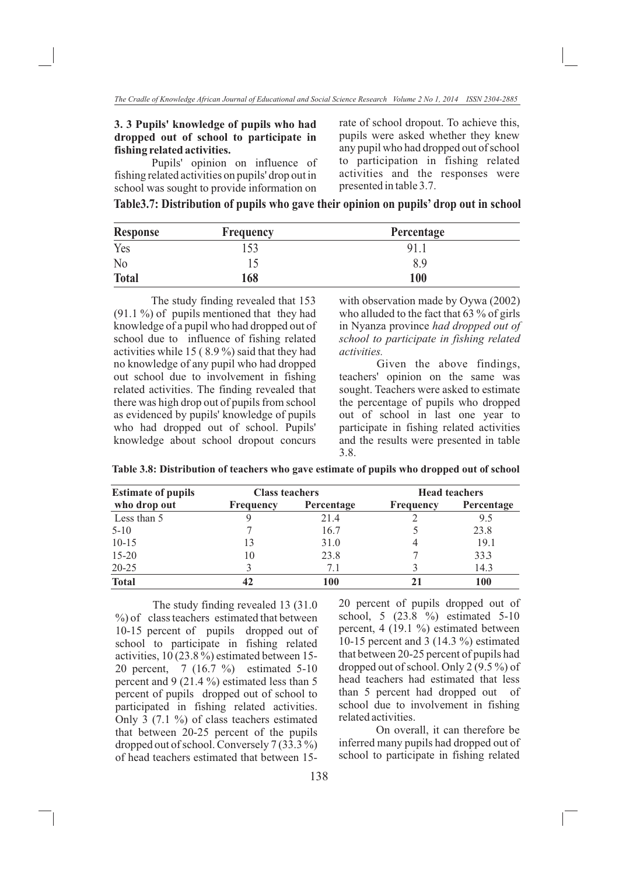### **3. 3 Pupils' knowledge of pupils who had dropped out of school to participate in fishing related activities.**

Pupils' opinion on influence of fishing related activities on pupils' drop out in school was sought to provide information on

rate of school dropout. To achieve this, pupils were asked whether they knew any pupil who had dropped out of school to participation in fishing related activities and the responses were presented in table 3.7.

|  | Table3.7: Distribution of pupils who gave their opinion on pupils' drop out in school |  |  |  |  |  |  |
|--|---------------------------------------------------------------------------------------|--|--|--|--|--|--|
|--|---------------------------------------------------------------------------------------|--|--|--|--|--|--|

| <b>Response</b> | <b>Frequency</b> | Percentage |  |
|-----------------|------------------|------------|--|
| Yes             |                  | 91.1       |  |
| N <sub>0</sub>  |                  | 8.9        |  |
| <b>Total</b>    | 168              | 100        |  |

The study finding revealed that 153  $(91.1\%)$  of pupils mentioned that they had knowledge of a pupil who had dropped out of school due to influence of fishing related activities while 15 ( 8.9 %) said that they had no knowledge of any pupil who had dropped out school due to involvement in fishing related activities. The finding revealed that there was high drop out of pupils from school as evidenced by pupils' knowledge of pupils who had dropped out of school. Pupils' knowledge about school dropout concurs

with observation made by Oywa (2002) who alluded to the fact that 63 % of girls in Nyanza province *had dropped out of school to participate in fishing related activities.*

Given the above findings, teachers' opinion on the same was sought. Teachers were asked to estimate the percentage of pupils who dropped out of school in last one year to participate in fishing related activities and the results were presented in table 3.8.

| <b>Estimate of pupils</b> | <b>Class teachers</b> |            | <b>Head teachers</b> |            |  |
|---------------------------|-----------------------|------------|----------------------|------------|--|
| who drop out              | <b>Frequency</b>      | Percentage | <b>Frequency</b>     | Percentage |  |
| Less than 5               |                       | 21.4       |                      | 9.5        |  |
| $5 - 10$                  |                       | 16.7       |                      | 23.8       |  |
| $10 - 15$                 | 13                    | 31.0       |                      | 19.1       |  |
| $15 - 20$                 | 10                    | 23.8       |                      | 33.3       |  |
| $20 - 25$                 |                       | 7.1        |                      | 14.3       |  |
| <b>Total</b>              |                       | 100        |                      | 100        |  |

**Table 3.8: Distribution of teachers who gave estimate of pupils who dropped out of school** 

The study finding revealed 13 (31.0  $\%$ ) of class teachers estimated that between 10-15 percent of pupils dropped out of school to participate in fishing related activities, 10 (23.8 %) estimated between 15- 20 percent, 7 (16.7 %) estimated 5-10 percent and 9 (21.4 %) estimated less than 5 percent of pupils dropped out of school to participated in fishing related activities. Only 3 (7.1 %) of class teachers estimated that between 20-25 percent of the pupils dropped out of school. Conversely 7 (33.3 %) of head teachers estimated that between 1520 percent of pupils dropped out of school, 5 (23.8 %) estimated 5-10 percent, 4 (19.1 %) estimated between 10-15 percent and 3 (14.3 %) estimated that between 20-25 percent of pupils had dropped out of school. Only 2 (9.5 %) of head teachers had estimated that less than 5 percent had dropped out of school due to involvement in fishing related activities.

On overall, it can therefore be inferred many pupils had dropped out of school to participate in fishing related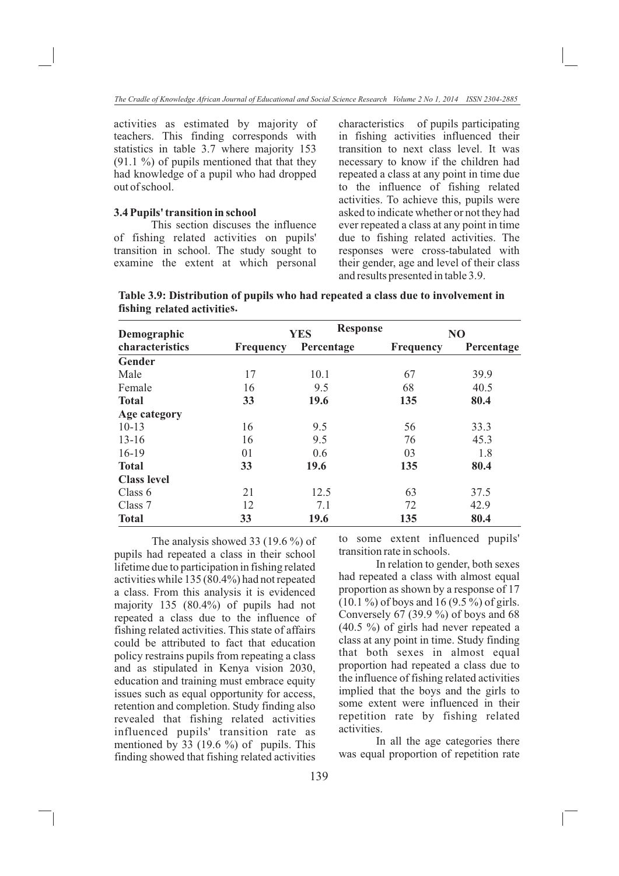activities as estimated by majority of teachers. This finding corresponds with statistics in table 3.7 where majority 153  $(91.1 \%)$  of pupils mentioned that that they had knowledge of a pupil who had dropped out of school.

### **3.4 Pupils' transition in school**

This section discuses the influence of fishing related activities on pupils' transition in school. The study sought to examine the extent at which personal characteristics of pupils participating in fishing activities influenced their transition to next class level. It was necessary to know if the children had repeated a class at any point in time due to the influence of fishing related activities. To achieve this, pupils were asked to indicate whether or not they had ever repeated a class at any point in time due to fishing related activities. The responses were cross-tabulated with their gender, age and level of their class and results presented in table 3.9.

**fishing related activities. Table 3.9: Distribution of pupils who had repeated a class due to involvement in** 

| Demographic        |                  | <b>Response</b><br><b>YES</b> |                  | NO         |  |  |
|--------------------|------------------|-------------------------------|------------------|------------|--|--|
| characteristics    | <b>Frequency</b> | Percentage                    | <b>Frequency</b> | Percentage |  |  |
| Gender             |                  |                               |                  |            |  |  |
| Male               | 17               | 10.1                          | 67               | 39.9       |  |  |
| Female             | 16               | 9.5                           | 68               | 40.5       |  |  |
| <b>Total</b>       | 33               | 19.6                          | 135              | 80.4       |  |  |
| Age category       |                  |                               |                  |            |  |  |
| $10-13$            | 16               | 9.5                           | 56               | 33.3       |  |  |
| $13 - 16$          | 16               | 9.5                           | 76               | 45.3       |  |  |
| $16-19$            | 01               | 0.6                           | 03               | 1.8        |  |  |
| <b>Total</b>       | 33               | 19.6                          | 135              | 80.4       |  |  |
| <b>Class level</b> |                  |                               |                  |            |  |  |
| Class 6            | 21               | 12.5                          | 63               | 37.5       |  |  |
| Class 7            | 12               | 7.1                           | 72               | 42.9       |  |  |
| <b>Total</b>       | 33               | 19.6                          | 135              | 80.4       |  |  |

The analysis showed 33 (19.6 %) of pupils had repeated a class in their school lifetime due to participation in fishing related activities while 135 (80.4%) had not repeated a class. From this analysis it is evidenced majority 135 (80.4%) of pupils had not repeated a class due to the influence of fishing related activities. This state of affairs could be attributed to fact that education policy restrains pupils from repeating a class and as stipulated in Kenya vision 2030, education and training must embrace equity issues such as equal opportunity for access, retention and completion. Study finding also revealed that fishing related activities influenced pupils' transition rate as mentioned by 33 (19.6 %) of pupils. This finding showed that fishing related activities

to some extent influenced pupils' transition rate in schools.

In relation to gender, both sexes had repeated a class with almost equal proportion as shown by a response of 17 (10.1 %) of boys and 16 (9.5 %) of girls. Conversely 67 (39.9 %) of boys and 68 (40.5 %) of girls had never repeated a class at any point in time. Study finding that both sexes in almost equal proportion had repeated a class due to the influence of fishing related activities implied that the boys and the girls to some extent were influenced in their repetition rate by fishing related activities.

In all the age categories there was equal proportion of repetition rate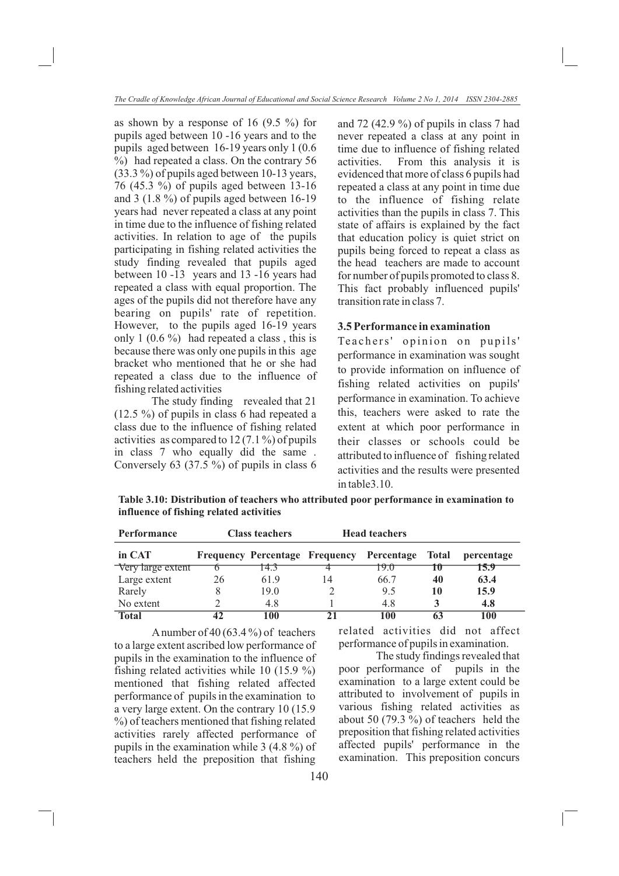as shown by a response of 16  $(9.5 \%)$  for pupils aged between 10 -16 years and to the pupils aged between 16-19 years only 1 (0.6 %) had repeated a class. On the contrary 56 (33.3 %) of pupils aged between 10-13 years, 76 (45.3 %) of pupils aged between 13-16 and 3 (1.8 %) of pupils aged between 16-19 years had never repeated a class at any point in time due to the influence of fishing related activities. In relation to age of the pupils participating in fishing related activities the study finding revealed that pupils aged between 10 -13 years and 13 -16 years had repeated a class with equal proportion. The ages of the pupils did not therefore have any bearing on pupils' rate of repetition. However, to the pupils aged 16-19 years only 1  $(0.6\%)$  had repeated a class, this is because there was only one pupils in this age bracket who mentioned that he or she had repeated a class due to the influence of fishing related activities

The study finding revealed that 21 (12.5 %) of pupils in class 6 had repeated a class due to the influence of fishing related activities as compared to 12 (7.1 %) of pupils in class 7 who equally did the same . Conversely 63 (37.5 %) of pupils in class 6

and 72 (42.9 %) of pupils in class 7 had never repeated a class at any point in time due to influence of fishing related activities. From this analysis it is evidenced that more of class 6 pupils had repeated a class at any point in time due to the influence of fishing relate activities than the pupils in class 7. This state of affairs is explained by the fact that education policy is quiet strict on pupils being forced to repeat a class as the head teachers are made to account for number of pupils promoted to class 8. This fact probably influenced pupils' transition rate in class 7.

### **3.5 Performance in examination**

Teachers' opinion on pupils' performance in examination was sought to provide information on influence of fishing related activities on pupils' performance in examination. To achieve this, teachers were asked to rate the extent at which poor performance in their classes or schools could be attributed to influence of fishing related activities and the results were presented in table3.10.

**Table 3.10: Distribution of teachers who attributed poor performance in examination to influence of fishing related activities**

| <b>Performance</b> | <b>Head teachers</b><br><b>Class teachers</b> |      |    |                                           |                          |            |
|--------------------|-----------------------------------------------|------|----|-------------------------------------------|--------------------------|------------|
| in CAT             |                                               |      |    | Frequency Percentage Frequency Percentage | <b>Total</b>             | percentage |
| Very large extent  |                                               | 14.3 |    | 19.0                                      | $\overline{\phantom{a}}$ | 15.9       |
| Large extent       | 26                                            | 61.9 | 14 | 66.7                                      | 40                       | 63.4       |
| Rarely             |                                               | 19.0 |    | 9.5                                       | 10                       | 15.9       |
| No extent          |                                               | 4.8  |    | 4.8                                       |                          | 4.8        |
| <b>Total</b>       |                                               | 100  |    | 100                                       |                          | 100        |

A number of 40 (63.4 %) of teachers to a large extent ascribed low performance of pupils in the examination to the influence of fishing related activities while 10 (15.9 %) mentioned that fishing related affected performance of pupils in the examination to a very large extent. On the contrary 10 (15.9 %) of teachers mentioned that fishing related activities rarely affected performance of pupils in the examination while 3 (4.8 %) of teachers held the preposition that fishing

related activities did not affect performance of pupils in examination.

The study findings revealed that poor performance of pupils in the examination to a large extent could be attributed to involvement of pupils in various fishing related activities as about 50 (79.3 %) of teachers held the preposition that fishing related activities affected pupils' performance in the examination. This preposition concurs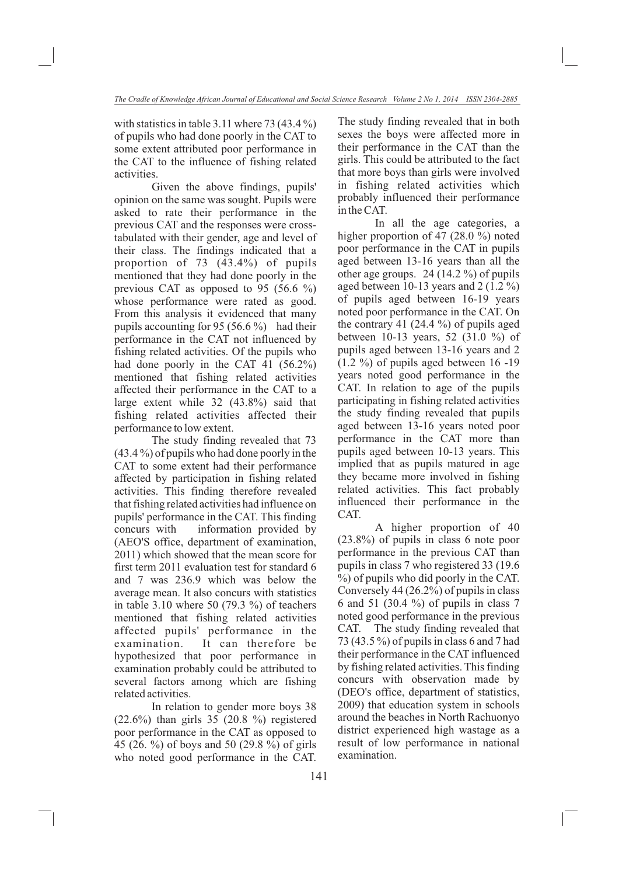with statistics in table 3.11 where  $73 (43.4\%)$ of pupils who had done poorly in the CAT to some extent attributed poor performance in the CAT to the influence of fishing related activities.

Given the above findings, pupils' opinion on the same was sought. Pupils were asked to rate their performance in the previous CAT and the responses were crosstabulated with their gender, age and level of their class. The findings indicated that a proportion of 73 (43.4%) of pupils mentioned that they had done poorly in the previous CAT as opposed to 95 (56.6 %) whose performance were rated as good. From this analysis it evidenced that many pupils accounting for 95 (56.6  $\%$ ) had their performance in the CAT not influenced by fishing related activities. Of the pupils who had done poorly in the CAT 41 (56.2%) mentioned that fishing related activities affected their performance in the CAT to a large extent while 32 (43.8%) said that fishing related activities affected their performance to low extent.

The study finding revealed that 73 (43.4 %) of pupils who had done poorly in the CAT to some extent had their performance affected by participation in fishing related activities. This finding therefore revealed that fishing related activities had influence on pupils' performance in the CAT. This finding concurs with information provided by (AEO'S office, department of examination, 2011) which showed that the mean score for first term 2011 evaluation test for standard 6 and 7 was 236.9 which was below the average mean. It also concurs with statistics in table 3.10 where 50  $(79.3\%)$  of teachers mentioned that fishing related activities affected pupils' performance in the examination. It can therefore be hypothesized that poor performance in examination probably could be attributed to several factors among which are fishing related activities.

In relation to gender more boys 38 (22.6%) than girls 35 (20.8 %) registered poor performance in the CAT as opposed to 45 (26. %) of boys and 50 (29.8 %) of girls who noted good performance in the CAT.

The study finding revealed that in both sexes the boys were affected more in their performance in the CAT than the girls. This could be attributed to the fact that more boys than girls were involved in fishing related activities which probably influenced their performance in the CAT.

In all the age categories, a higher proportion of 47 (28.0 %) noted poor performance in the CAT in pupils aged between 13-16 years than all the other age groups. 24 (14.2 %) of pupils aged between 10-13 years and 2 (1.2 %) of pupils aged between 16-19 years noted poor performance in the CAT. On the contrary 41  $(24.4 \%)$  of pupils aged between 10-13 years, 52 (31.0 %) of pupils aged between 13-16 years and 2 (1.2 %) of pupils aged between 16 -19 years noted good performance in the CAT. In relation to age of the pupils participating in fishing related activities the study finding revealed that pupils aged between 13-16 years noted poor performance in the CAT more than pupils aged between 10-13 years. This implied that as pupils matured in age they became more involved in fishing related activities. This fact probably influenced their performance in the CAT.

A higher proportion of 40 (23.8%) of pupils in class 6 note poor performance in the previous CAT than pupils in class 7 who registered 33 (19.6 %) of pupils who did poorly in the CAT. Conversely 44 (26.2%) of pupils in class 6 and 51 (30.4 %) of pupils in class 7 noted good performance in the previous CAT. The study finding revealed that 73 (43.5 %) of pupils in class 6 and 7 had their performance in the CAT influenced by fishing related activities. This finding concurs with observation made by (DEO's office, department of statistics, 2009) that education system in schools around the beaches in North Rachuonyo district experienced high wastage as a result of low performance in national examination.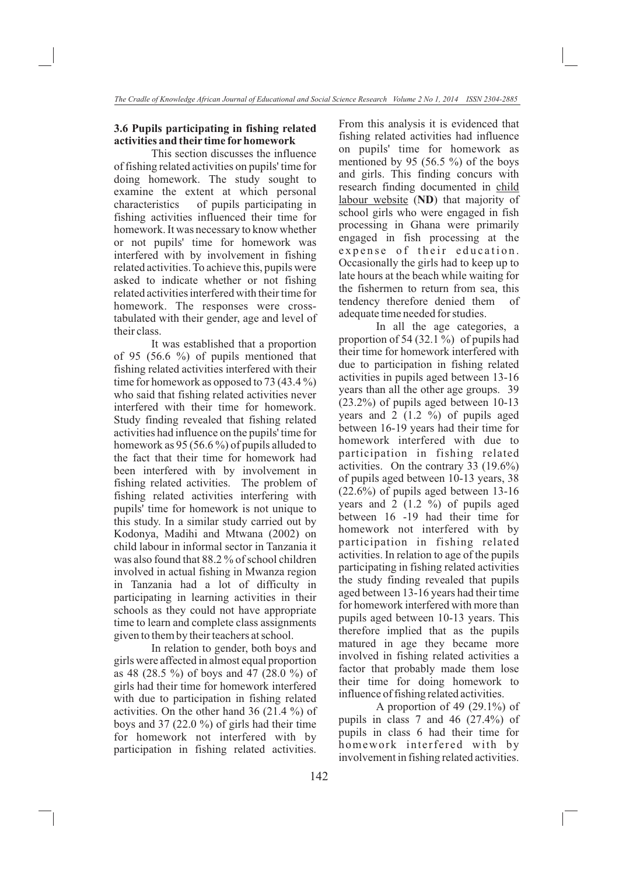## **3.6 Pupils participating in fishing related activities and their time for homework**

This section discusses the influence of fishing related activities on pupils' time for doing homework. The study sought to examine the extent at which personal characteristics of pupils participating in fishing activities influenced their time for homework. It was necessary to know whether or not pupils' time for homework was interfered with by involvement in fishing related activities. To achieve this, pupils were asked to indicate whether or not fishing related activities interfered with their time for homework. The responses were crosstabulated with their gender, age and level of their class.

It was established that a proportion of 95 (56.6 %) of pupils mentioned that fishing related activities interfered with their time for homework as opposed to 73 (43.4 %) who said that fishing related activities never interfered with their time for homework. Study finding revealed that fishing related activities had influence on the pupils' time for homework as 95 (56.6 %) of pupils alluded to the fact that their time for homework had been interfered with by involvement in fishing related activities. The problem of fishing related activities interfering with pupils' time for homework is not unique to this study. In a similar study carried out by Kodonya, Madihi and Mtwana (2002) on child labour in informal sector in Tanzania it was also found that 88.2 % of school children involved in actual fishing in Mwanza region in Tanzania had a lot of difficulty in participating in learning activities in their schools as they could not have appropriate time to learn and complete class assignments given to them by their teachers at school.

In relation to gender, both boys and girls were affected in almost equal proportion as 48 (28.5 %) of boys and 47 (28.0 %) of girls had their time for homework interfered with due to participation in fishing related activities. On the other hand 36 (21.4 %) of boys and 37 (22.0  $\%$ ) of girls had their time for homework not interfered with by participation in fishing related activities. From this analysis it is evidenced that fishing related activities had influence on pupils' time for homework as mentioned by 95 (56.5  $\%$ ) of the boys and girls. This finding concurs with research finding documented in child labour website (**ND**) that majority of school girls who were engaged in fish processing in Ghana were primarily engaged in fish processing at the expense of their education. Occasionally the girls had to keep up to late hours at the beach while waiting for the fishermen to return from sea, this tendency therefore denied them of adequate time needed for studies.

In all the age categories, a proportion of 54 (32.1 %) of pupils had their time for homework interfered with due to participation in fishing related activities in pupils aged between 13-16 years than all the other age groups. 39 (23.2%) of pupils aged between 10-13 years and  $2(1.2 \%)$  of pupils aged between 16-19 years had their time for homework interfered with due to participation in fishing related activities. On the contrary 33 (19.6%) of pupils aged between 10-13 years, 38 (22.6%) of pupils aged between 13-16 years and 2 (1.2 %) of pupils aged between 16 -19 had their time for homework not interfered with by participation in fishing related activities. In relation to age of the pupils participating in fishing related activities the study finding revealed that pupils aged between 13-16 years had their time for homework interfered with more than pupils aged between 10-13 years. This therefore implied that as the pupils matured in age they became more involved in fishing related activities a factor that probably made them lose their time for doing homework to influence of fishing related activities.

A proportion of 49 (29.1%) of pupils in class 7 and 46 (27.4%) of pupils in class 6 had their time for homework interfered with by involvement in fishing related activities.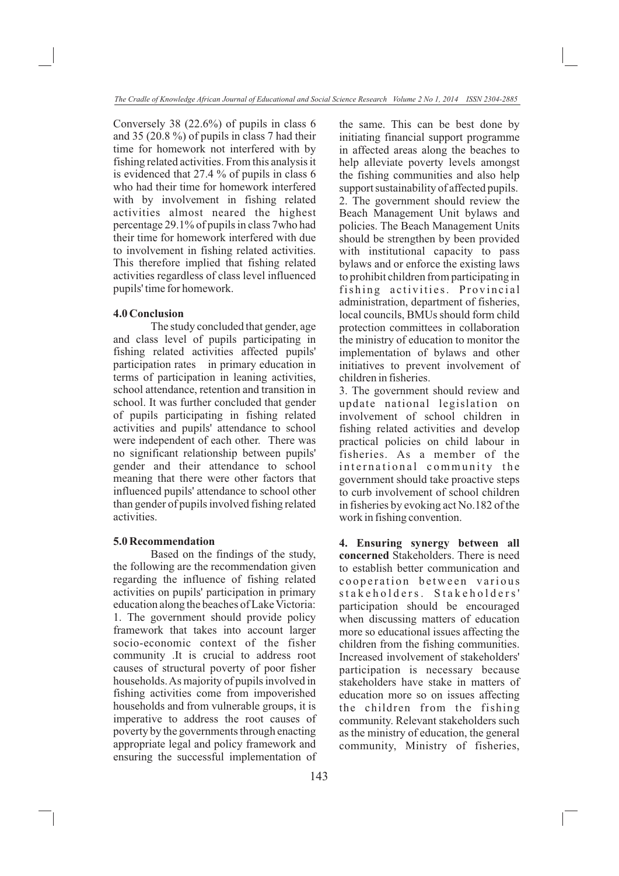Conversely 38 (22.6%) of pupils in class 6 and 35 (20.8 %) of pupils in class 7 had their time for homework not interfered with by fishing related activities. From this analysis it is evidenced that 27.4 % of pupils in class 6 who had their time for homework interfered with by involvement in fishing related activities almost neared the highest percentage 29.1% of pupils in class 7who had their time for homework interfered with due to involvement in fishing related activities. This therefore implied that fishing related activities regardless of class level influenced pupils' time for homework.

#### **4.0 Conclusion**

The study concluded that gender, age and class level of pupils participating in fishing related activities affected pupils' participation rates in primary education in terms of participation in leaning activities, school attendance, retention and transition in school. It was further concluded that gender of pupils participating in fishing related activities and pupils' attendance to school were independent of each other. There was no significant relationship between pupils' gender and their attendance to school meaning that there were other factors that influenced pupils' attendance to school other than gender of pupils involved fishing related activities.

#### **5.0 Recommendation**

Based on the findings of the study, the following are the recommendation given regarding the influence of fishing related activities on pupils' participation in primary education along the beaches of Lake Victoria: 1. The government should provide policy framework that takes into account larger socio-economic context of the fisher community .It is crucial to address root causes of structural poverty of poor fisher households. As majority of pupils involved in fishing activities come from impoverished households and from vulnerable groups, it is imperative to address the root causes of poverty by the governments through enacting appropriate legal and policy framework and ensuring the successful implementation of the same. This can be best done by initiating financial support programme in affected areas along the beaches to help alleviate poverty levels amongst the fishing communities and also help support sustainability of affected pupils. 2. The government should review the Beach Management Unit bylaws and policies. The Beach Management Units should be strengthen by been provided with institutional capacity to pass bylaws and or enforce the existing laws to prohibit children from participating in fishing activities. Provincial administration, department of fisheries, local councils, BMUs should form child protection committees in collaboration the ministry of education to monitor the implementation of bylaws and other initiatives to prevent involvement of children in fisheries.

3. The government should review and update national legislation on involvement of school children in fishing related activities and develop practical policies on child labour in fisheries. As a member of the international community the government should take proactive steps to curb involvement of school children in fisheries by evoking act No.182 of the work in fishing convention.

**4. Ensuring synergy between all concerned** Stakeholders. There is need to establish better communication and cooperation between various stakeholders. Stakeholders' participation should be encouraged when discussing matters of education more so educational issues affecting the children from the fishing communities. Increased involvement of stakeholders' participation is necessary because stakeholders have stake in matters of education more so on issues affecting the children from the fishing community. Relevant stakeholders such as the ministry of education, the general community, Ministry of fisheries,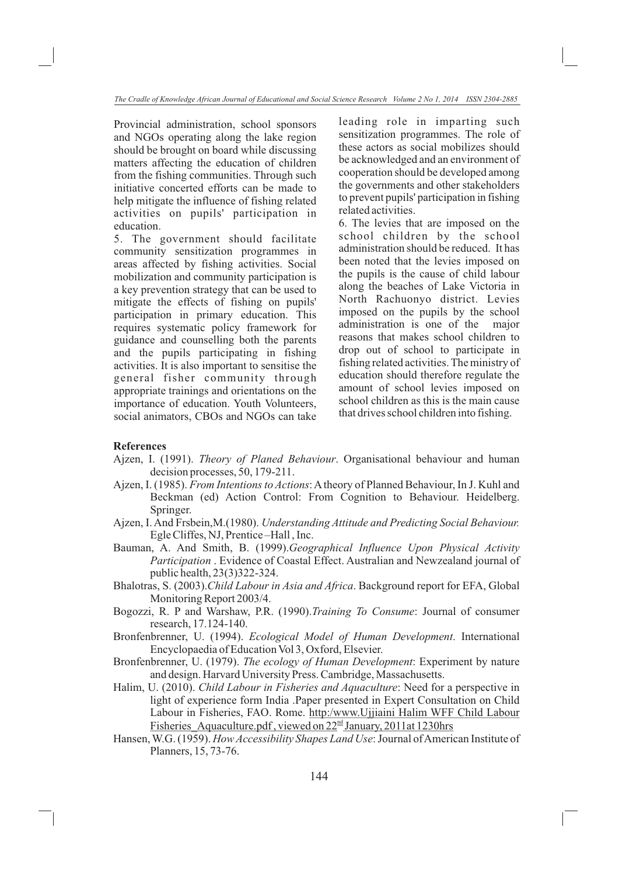Provincial administration, school sponsors and NGOs operating along the lake region should be brought on board while discussing matters affecting the education of children from the fishing communities. Through such initiative concerted efforts can be made to help mitigate the influence of fishing related activities on pupils' participation in education.

5. The government should facilitate community sensitization programmes in areas affected by fishing activities. Social mobilization and community participation is a key prevention strategy that can be used to mitigate the effects of fishing on pupils' participation in primary education. This requires systematic policy framework for guidance and counselling both the parents and the pupils participating in fishing activities. It is also important to sensitise the general fisher community through appropriate trainings and orientations on the importance of education. Youth Volunteers, social animators, CBOs and NGOs can take leading role in imparting such sensitization programmes. The role of these actors as social mobilizes should be acknowledged and an environment of cooperation should be developed among the governments and other stakeholders to prevent pupils' participation in fishing related activities.

6. The levies that are imposed on the school children by the school administration should be reduced. It has been noted that the levies imposed on the pupils is the cause of child labour along the beaches of Lake Victoria in North Rachuonyo district. Levies imposed on the pupils by the school administration is one of the major reasons that makes school children to drop out of school to participate in fishing related activities. The ministry of education should therefore regulate the amount of school levies imposed on school children as this is the main cause that drives school children into fishing.

#### **References**

- Ajzen, I. (1991). *Theory of Planed Behaviour*. Organisational behaviour and human decision processes, 50, 179-211.
- Ajzen, I. (1985). *From Intentions to Actions*: A theory of Planned Behaviour, In J. Kuhl and Beckman (ed) Action Control: From Cognition to Behaviour. Heidelberg. Springer.
- Ajzen, I. And Frsbein,M.(1980). *Understanding Attitude and Predicting Social Behaviour.* Egle Cliffes, NJ, Prentice –Hall , Inc.
- Bauman, A. And Smith, B. (1999).*Geographical Influence Upon Physical Activity Participation* . Evidence of Coastal Effect. Australian and Newzealand journal of public health, 23(3)322-324.
- Bhalotras, S. (2003).*Child Labour in Asia and Africa*. Background report for EFA, Global Monitoring Report 2003/4.
- Bogozzi, R. P and Warshaw, P.R. (1990).*Training To Consume*: Journal of consumer research, 17.124-140.
- Bronfenbrenner, U. (1994). *Ecological Model of Human Development*. International Encyclopaedia of Education Vol 3, Oxford, Elsevier.
- Bronfenbrenner, U. (1979). *The ecology of Human Development*: Experiment by nature and design. Harvard University Press. Cambridge, Massachusetts.
- Halim, U. (2010). *Child Labour in Fisheries and Aquaculture*: Need for a perspective in light of experience form India .Paper presented in Expert Consultation on Child Labour in Fisheries, FAO. Rome. http:/www.Ujjiaini Halim WFF Child Labour Fisheries Aquaculture.pdf, viewed on  $22<sup>nd</sup>$  January, 2011at 1230hrs
- Hansen, W.G. (1959). *How Accessibility Shapes Land Use*: Journal of American Institute of Planners, 15, 73-76.